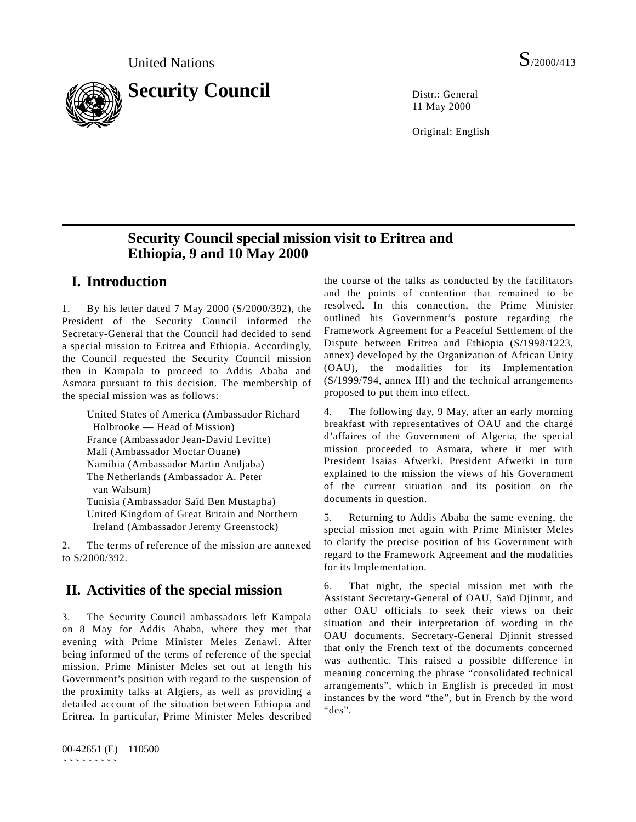

11 May 2000

Original: English

# **Security Council special mission visit to Eritrea and Ethiopia, 9 and 10 May 2000**

# **I. Introduction**

1. By his letter dated 7 May 2000 (S/2000/392), the President of the Security Council informed the Secretary-General that the Council had decided to send a special mission to Eritrea and Ethiopia. Accordingly, the Council requested the Security Council mission then in Kampala to proceed to Addis Ababa and Asmara pursuant to this decision. The membership of the special mission was as follows:

United States of America (Ambassador Richard Holbrooke — Head of Mission) France (Ambassador Jean-David Levitte) Mali (Ambassador Moctar Ouane) Namibia (Ambassador Martin Andjaba) The Netherlands (Ambassador A. Peter van Walsum) Tunisia (Ambassador Saïd Ben Mustapha) United Kingdom of Great Britain and Northern Ireland (Ambassador Jeremy Greenstock)

2. The terms of reference of the mission are annexed to S/2000/392.

# **II. Activities of the special mission**

3. The Security Council ambassadors left Kampala on 8 May for Addis Ababa, where they met that evening with Prime Minister Meles Zenawi. After being informed of the terms of reference of the special mission, Prime Minister Meles set out at length his Government's position with regard to the suspension of the proximity talks at Algiers, as well as providing a detailed account of the situation between Ethiopia and Eritrea. In particular, Prime Minister Meles described

00-42651 (E) 110500 ```````````

the course of the talks as conducted by the facilitators and the points of contention that remained to be resolved. In this connection, the Prime Minister outlined his Government's posture regarding the Framework Agreement for a Peaceful Settlement of the Dispute between Eritrea and Ethiopia (S/1998/1223, annex) developed by the Organization of African Unity (OAU), the modalities for its Implementation (S/1999/794, annex III) and the technical arrangements proposed to put them into effect.

4. The following day, 9 May, after an early morning breakfast with representatives of OAU and the chargé d'affaires of the Government of Algeria, the special mission proceeded to Asmara, where it met with President Isaias Afwerki. President Afwerki in turn explained to the mission the views of his Government of the current situation and its position on the documents in question.

5. Returning to Addis Ababa the same evening, the special mission met again with Prime Minister Meles to clarify the precise position of his Government with regard to the Framework Agreement and the modalities for its Implementation.

6. That night, the special mission met with the Assistant Secretary-General of OAU, Saïd Djinnit, and other OAU officials to seek their views on their situation and their interpretation of wording in the OAU documents. Secretary-General Djinnit stressed that only the French text of the documents concerned was authentic. This raised a possible difference in meaning concerning the phrase "consolidated technical arrangements", which in English is preceded in most instances by the word "the", but in French by the word "des".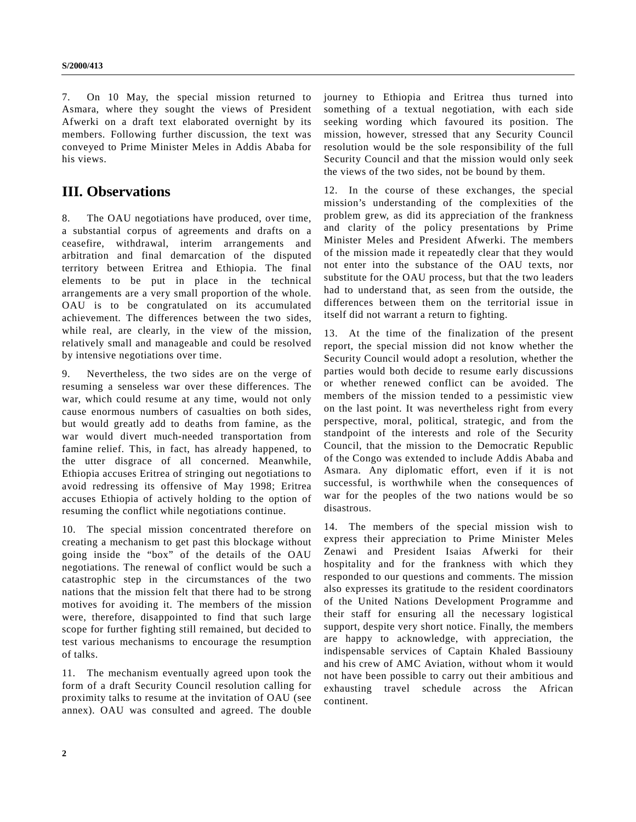7. On 10 May, the special mission returned to Asmara, where they sought the views of President Afwerki on a draft text elaborated overnight by its members. Following further discussion, the text was conveyed to Prime Minister Meles in Addis Ababa for his views.

## **III. Observations**

8. The OAU negotiations have produced, over time, a substantial corpus of agreements and drafts on a ceasefire, withdrawal, interim arrangements and arbitration and final demarcation of the disputed territory between Eritrea and Ethiopia. The final elements to be put in place in the technical arrangements are a very small proportion of the whole. OAU is to be congratulated on its accumulated achievement. The differences between the two sides, while real, are clearly, in the view of the mission, relatively small and manageable and could be resolved by intensive negotiations over time.

9. Nevertheless, the two sides are on the verge of resuming a senseless war over these differences. The war, which could resume at any time, would not only cause enormous numbers of casualties on both sides, but would greatly add to deaths from famine, as the war would divert much-needed transportation from famine relief. This, in fact, has already happened, to the utter disgrace of all concerned. Meanwhile, Ethiopia accuses Eritrea of stringing out negotiations to avoid redressing its offensive of May 1998; Eritrea accuses Ethiopia of actively holding to the option of resuming the conflict while negotiations continue.

10. The special mission concentrated therefore on creating a mechanism to get past this blockage without going inside the "box" of the details of the OAU negotiations. The renewal of conflict would be such a catastrophic step in the circumstances of the two nations that the mission felt that there had to be strong motives for avoiding it. The members of the mission were, therefore, disappointed to find that such large scope for further fighting still remained, but decided to test various mechanisms to encourage the resumption of talks.

11. The mechanism eventually agreed upon took the form of a draft Security Council resolution calling for proximity talks to resume at the invitation of OAU (see annex). OAU was consulted and agreed. The double journey to Ethiopia and Eritrea thus turned into something of a textual negotiation, with each side seeking wording which favoured its position. The mission, however, stressed that any Security Council resolution would be the sole responsibility of the full Security Council and that the mission would only seek the views of the two sides, not be bound by them.

12. In the course of these exchanges, the special mission's understanding of the complexities of the problem grew, as did its appreciation of the frankness and clarity of the policy presentations by Prime Minister Meles and President Afwerki. The members of the mission made it repeatedly clear that they would not enter into the substance of the OAU texts, nor substitute for the OAU process, but that the two leaders had to understand that, as seen from the outside, the differences between them on the territorial issue in itself did not warrant a return to fighting.

13. At the time of the finalization of the present report, the special mission did not know whether the Security Council would adopt a resolution, whether the parties would both decide to resume early discussions or whether renewed conflict can be avoided. The members of the mission tended to a pessimistic view on the last point. It was nevertheless right from every perspective, moral, political, strategic, and from the standpoint of the interests and role of the Security Council, that the mission to the Democratic Republic of the Congo was extended to include Addis Ababa and Asmara. Any diplomatic effort, even if it is not successful, is worthwhile when the consequences of war for the peoples of the two nations would be so disastrous.

14. The members of the special mission wish to express their appreciation to Prime Minister Meles Zenawi and President Isaias Afwerki for their hospitality and for the frankness with which they responded to our questions and comments. The mission also expresses its gratitude to the resident coordinators of the United Nations Development Programme and their staff for ensuring all the necessary logistical support, despite very short notice. Finally, the members are happy to acknowledge, with appreciation, the indispensable services of Captain Khaled Bassiouny and his crew of AMC Aviation, without whom it would not have been possible to carry out their ambitious and exhausting travel schedule across the African continent.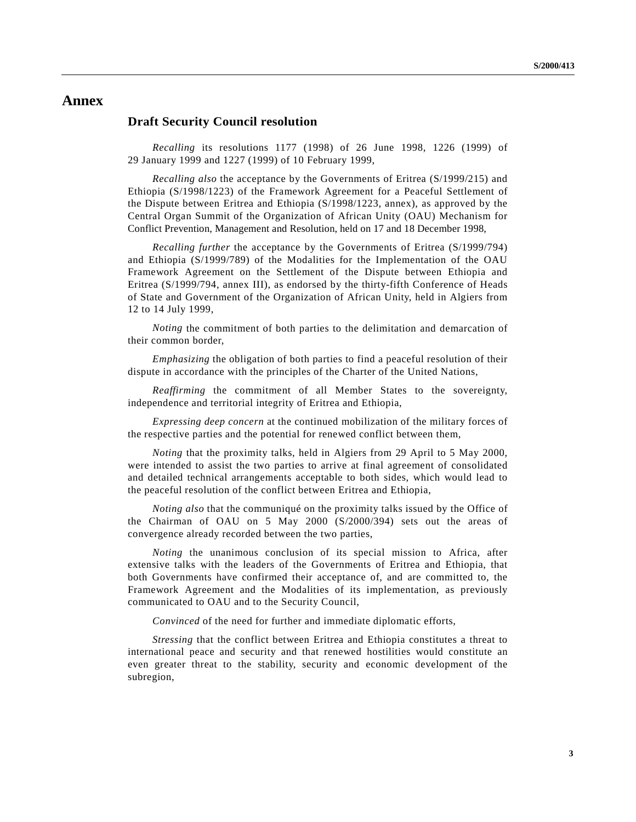### **Annex**

#### **Draft Security Council resolution**

*Recalling* its resolutions 1177 (1998) of 26 June 1998, 1226 (1999) of 29 January 1999 and 1227 (1999) of 10 February 1999,

*Recalling also* the acceptance by the Governments of Eritrea (S/1999/215) and Ethiopia (S/1998/1223) of the Framework Agreement for a Peaceful Settlement of the Dispute between Eritrea and Ethiopia (S/1998/1223, annex), as approved by the Central Organ Summit of the Organization of African Unity (OAU) Mechanism for Conflict Prevention, Management and Resolution, held on 17 and 18 December 1998,

*Recalling further* the acceptance by the Governments of Eritrea (S/1999/794) and Ethiopia (S/1999/789) of the Modalities for the Implementation of the OAU Framework Agreement on the Settlement of the Dispute between Ethiopia and Eritrea (S/1999/794, annex III), as endorsed by the thirty-fifth Conference of Heads of State and Government of the Organization of African Unity, held in Algiers from 12 to 14 July 1999,

*Noting* the commitment of both parties to the delimitation and demarcation of their common border,

*Emphasizing* the obligation of both parties to find a peaceful resolution of their dispute in accordance with the principles of the Charter of the United Nations,

*Reaffirming* the commitment of all Member States to the sovereignty, independence and territorial integrity of Eritrea and Ethiopia,

*Expressing deep concern* at the continued mobilization of the military forces of the respective parties and the potential for renewed conflict between them,

*Noting* that the proximity talks, held in Algiers from 29 April to 5 May 2000, were intended to assist the two parties to arrive at final agreement of consolidated and detailed technical arrangements acceptable to both sides, which would lead to the peaceful resolution of the conflict between Eritrea and Ethiopia,

*Noting also* that the communiqué on the proximity talks issued by the Office of the Chairman of OAU on 5 May 2000 (S/2000/394) sets out the areas of convergence already recorded between the two parties,

*Noting* the unanimous conclusion of its special mission to Africa, after extensive talks with the leaders of the Governments of Eritrea and Ethiopia, that both Governments have confirmed their acceptance of, and are committed to, the Framework Agreement and the Modalities of its implementation, as previously communicated to OAU and to the Security Council,

*Convinced* of the need for further and immediate diplomatic efforts,

*Stressing* that the conflict between Eritrea and Ethiopia constitutes a threat to international peace and security and that renewed hostilities would constitute an even greater threat to the stability, security and economic development of the subregion,